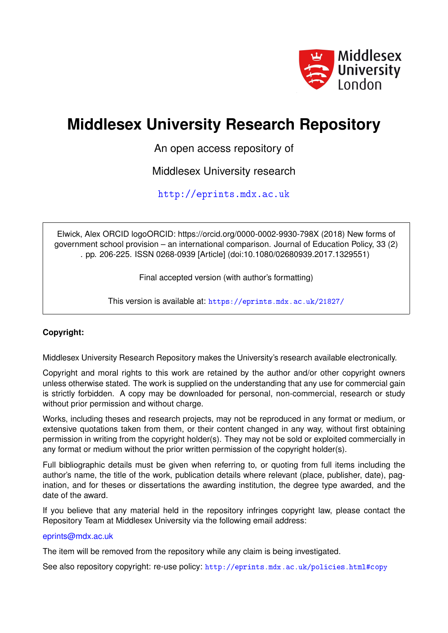

# **Middlesex University Research Repository**

An open access repository of

Middlesex University research

<http://eprints.mdx.ac.uk>

Elwick, Alex ORCID logoORCID: https://orcid.org/0000-0002-9930-798X (2018) New forms of government school provision – an international comparison. Journal of Education Policy, 33 (2) . pp. 206-225. ISSN 0268-0939 [Article] (doi:10.1080/02680939.2017.1329551)

Final accepted version (with author's formatting)

This version is available at: <https://eprints.mdx.ac.uk/21827/>

# **Copyright:**

Middlesex University Research Repository makes the University's research available electronically.

Copyright and moral rights to this work are retained by the author and/or other copyright owners unless otherwise stated. The work is supplied on the understanding that any use for commercial gain is strictly forbidden. A copy may be downloaded for personal, non-commercial, research or study without prior permission and without charge.

Works, including theses and research projects, may not be reproduced in any format or medium, or extensive quotations taken from them, or their content changed in any way, without first obtaining permission in writing from the copyright holder(s). They may not be sold or exploited commercially in any format or medium without the prior written permission of the copyright holder(s).

Full bibliographic details must be given when referring to, or quoting from full items including the author's name, the title of the work, publication details where relevant (place, publisher, date), pagination, and for theses or dissertations the awarding institution, the degree type awarded, and the date of the award.

If you believe that any material held in the repository infringes copyright law, please contact the Repository Team at Middlesex University via the following email address:

## [eprints@mdx.ac.uk](mailto:eprints@mdx.ac.uk)

The item will be removed from the repository while any claim is being investigated.

See also repository copyright: re-use policy: <http://eprints.mdx.ac.uk/policies.html#copy>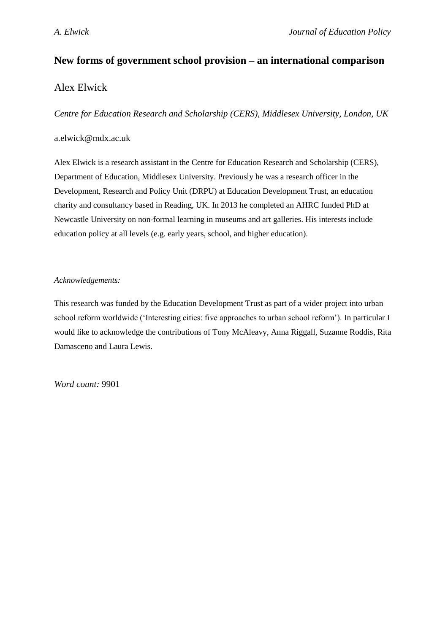# **New forms of government school provision – an international comparison**

# Alex Elwick

*Centre for Education Research and Scholarship (CERS), Middlesex University, London, UK*

# a.elwick@mdx.ac.uk

Alex Elwick is a research assistant in the Centre for Education Research and Scholarship (CERS), Department of Education, Middlesex University. Previously he was a research officer in the Development, Research and Policy Unit (DRPU) at Education Development Trust, an education charity and consultancy based in Reading, UK. In 2013 he completed an AHRC funded PhD at Newcastle University on non-formal learning in museums and art galleries. His interests include education policy at all levels (e.g. early years, school, and higher education).

# *Acknowledgements:*

This research was funded by the Education Development Trust as part of a wider project into urban school reform worldwide ('Interesting cities: five approaches to urban school reform'). In particular I would like to acknowledge the contributions of Tony McAleavy, Anna Riggall, Suzanne Roddis, Rita Damasceno and Laura Lewis.

*Word count:* 9901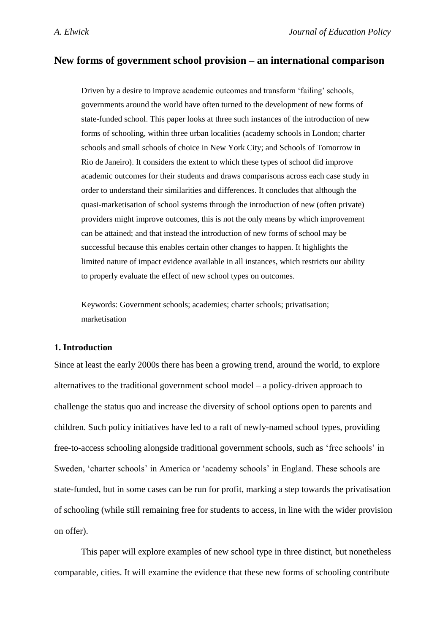# **New forms of government school provision – an international comparison**

Driven by a desire to improve academic outcomes and transform 'failing' schools, governments around the world have often turned to the development of new forms of state-funded school. This paper looks at three such instances of the introduction of new forms of schooling, within three urban localities (academy schools in London; charter schools and small schools of choice in New York City; and Schools of Tomorrow in Rio de Janeiro). It considers the extent to which these types of school did improve academic outcomes for their students and draws comparisons across each case study in order to understand their similarities and differences. It concludes that although the quasi-marketisation of school systems through the introduction of new (often private) providers might improve outcomes, this is not the only means by which improvement can be attained; and that instead the introduction of new forms of school may be successful because this enables certain other changes to happen. It highlights the limited nature of impact evidence available in all instances, which restricts our ability to properly evaluate the effect of new school types on outcomes.

Keywords: Government schools; academies; charter schools; privatisation; marketisation

## **1. Introduction**

Since at least the early 2000s there has been a growing trend, around the world, to explore alternatives to the traditional government school model – a policy-driven approach to challenge the status quo and increase the diversity of school options open to parents and children. Such policy initiatives have led to a raft of newly-named school types, providing free-to-access schooling alongside traditional government schools, such as 'free schools' in Sweden, 'charter schools' in America or 'academy schools' in England. These schools are state-funded, but in some cases can be run for profit, marking a step towards the privatisation of schooling (while still remaining free for students to access, in line with the wider provision on offer).

This paper will explore examples of new school type in three distinct, but nonetheless comparable, cities. It will examine the evidence that these new forms of schooling contribute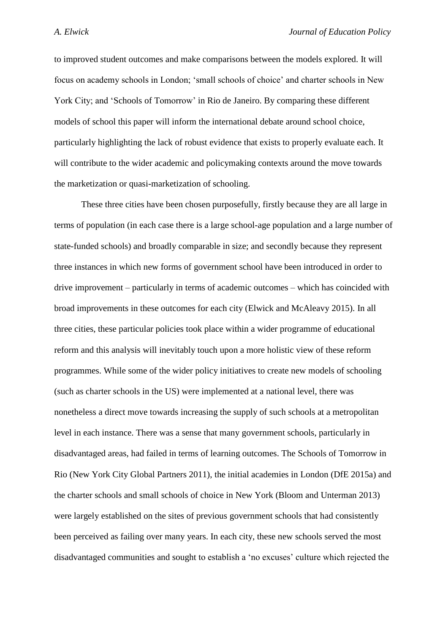to improved student outcomes and make comparisons between the models explored. It will focus on academy schools in London; 'small schools of choice' and charter schools in New York City; and 'Schools of Tomorrow' in Rio de Janeiro. By comparing these different models of school this paper will inform the international debate around school choice, particularly highlighting the lack of robust evidence that exists to properly evaluate each. It will contribute to the wider academic and policymaking contexts around the move towards the marketization or quasi-marketization of schooling.

These three cities have been chosen purposefully, firstly because they are all large in terms of population (in each case there is a large school-age population and a large number of state-funded schools) and broadly comparable in size; and secondly because they represent three instances in which new forms of government school have been introduced in order to drive improvement – particularly in terms of academic outcomes – which has coincided with broad improvements in these outcomes for each city (Elwick and McAleavy 2015). In all three cities, these particular policies took place within a wider programme of educational reform and this analysis will inevitably touch upon a more holistic view of these reform programmes. While some of the wider policy initiatives to create new models of schooling (such as charter schools in the US) were implemented at a national level, there was nonetheless a direct move towards increasing the supply of such schools at a metropolitan level in each instance. There was a sense that many government schools, particularly in disadvantaged areas, had failed in terms of learning outcomes. The Schools of Tomorrow in Rio (New York City Global Partners 2011), the initial academies in London (DfE 2015a) and the charter schools and small schools of choice in New York (Bloom and Unterman 2013) were largely established on the sites of previous government schools that had consistently been perceived as failing over many years. In each city, these new schools served the most disadvantaged communities and sought to establish a 'no excuses' culture which rejected the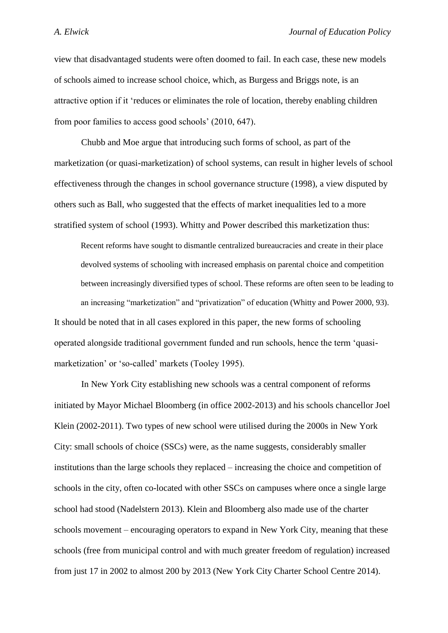view that disadvantaged students were often doomed to fail. In each case, these new models of schools aimed to increase school choice, which, as Burgess and Briggs note, is an attractive option if it 'reduces or eliminates the role of location, thereby enabling children from poor families to access good schools' (2010, 647).

Chubb and Moe argue that introducing such forms of school, as part of the marketization (or quasi-marketization) of school systems, can result in higher levels of school effectiveness through the changes in school governance structure (1998), a view disputed by others such as Ball, who suggested that the effects of market inequalities led to a more stratified system of school (1993). Whitty and Power described this marketization thus:

Recent reforms have sought to dismantle centralized bureaucracies and create in their place devolved systems of schooling with increased emphasis on parental choice and competition between increasingly diversified types of school. These reforms are often seen to be leading to an increasing "marketization" and "privatization" of education (Whitty and Power 2000, 93). It should be noted that in all cases explored in this paper, the new forms of schooling operated alongside traditional government funded and run schools, hence the term 'quasi-

marketization' or 'so-called' markets (Tooley 1995).

In New York City establishing new schools was a central component of reforms initiated by Mayor Michael Bloomberg (in office 2002-2013) and his schools chancellor Joel Klein (2002-2011). Two types of new school were utilised during the 2000s in New York City: small schools of choice (SSCs) were, as the name suggests, considerably smaller institutions than the large schools they replaced – increasing the choice and competition of schools in the city, often co-located with other SSCs on campuses where once a single large school had stood (Nadelstern 2013). Klein and Bloomberg also made use of the charter schools movement – encouraging operators to expand in New York City, meaning that these schools (free from municipal control and with much greater freedom of regulation) increased from just 17 in 2002 to almost 200 by 2013 (New York City Charter School Centre 2014).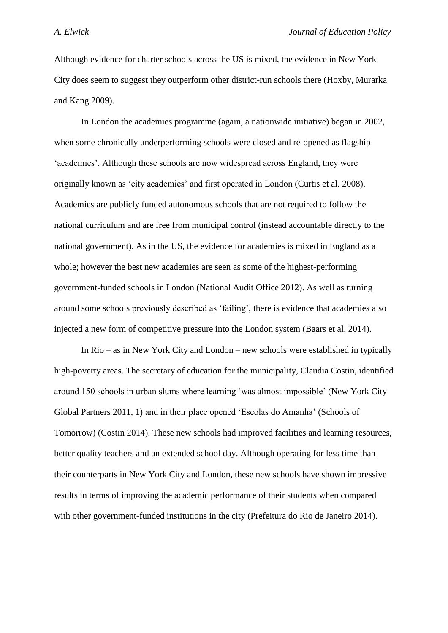Although evidence for charter schools across the US is mixed, the evidence in New York City does seem to suggest they outperform other district-run schools there (Hoxby, Murarka and Kang 2009).

In London the academies programme (again, a nationwide initiative) began in 2002, when some chronically underperforming schools were closed and re-opened as flagship 'academies'. Although these schools are now widespread across England, they were originally known as 'city academies' and first operated in London (Curtis et al. 2008). Academies are publicly funded autonomous schools that are not required to follow the national curriculum and are free from municipal control (instead accountable directly to the national government). As in the US, the evidence for academies is mixed in England as a whole; however the best new academies are seen as some of the highest-performing government-funded schools in London (National Audit Office 2012). As well as turning around some schools previously described as 'failing', there is evidence that academies also injected a new form of competitive pressure into the London system (Baars et al. 2014).

In Rio – as in New York City and London – new schools were established in typically high-poverty areas. The secretary of education for the municipality, Claudia Costin, identified around 150 schools in urban slums where learning 'was almost impossible' (New York City Global Partners 2011, 1) and in their place opened 'Escolas do Amanha' (Schools of Tomorrow) (Costin 2014). These new schools had improved facilities and learning resources, better quality teachers and an extended school day. Although operating for less time than their counterparts in New York City and London, these new schools have shown impressive results in terms of improving the academic performance of their students when compared with other government-funded institutions in the city (Prefeitura do Rio de Janeiro 2014).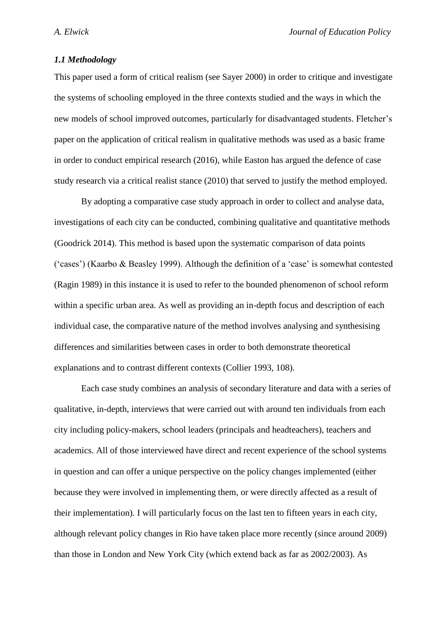## *1.1 Methodology*

This paper used a form of critical realism (see Sayer 2000) in order to critique and investigate the systems of schooling employed in the three contexts studied and the ways in which the new models of school improved outcomes, particularly for disadvantaged students. Fletcher's paper on the application of critical realism in qualitative methods was used as a basic frame in order to conduct empirical research (2016), while Easton has argued the defence of case study research via a critical realist stance (2010) that served to justify the method employed.

By adopting a comparative case study approach in order to collect and analyse data, investigations of each city can be conducted, combining qualitative and quantitative methods (Goodrick 2014). This method is based upon the systematic comparison of data points ('cases') (Kaarbo & Beasley 1999). Although the definition of a 'case' is somewhat contested (Ragin 1989) in this instance it is used to refer to the bounded phenomenon of school reform within a specific urban area. As well as providing an in-depth focus and description of each individual case, the comparative nature of the method involves analysing and synthesising differences and similarities between cases in order to both demonstrate theoretical explanations and to contrast different contexts (Collier 1993, 108).

Each case study combines an analysis of secondary literature and data with a series of qualitative, in-depth, interviews that were carried out with around ten individuals from each city including policy-makers, school leaders (principals and headteachers), teachers and academics. All of those interviewed have direct and recent experience of the school systems in question and can offer a unique perspective on the policy changes implemented (either because they were involved in implementing them, or were directly affected as a result of their implementation). I will particularly focus on the last ten to fifteen years in each city, although relevant policy changes in Rio have taken place more recently (since around 2009) than those in London and New York City (which extend back as far as 2002/2003). As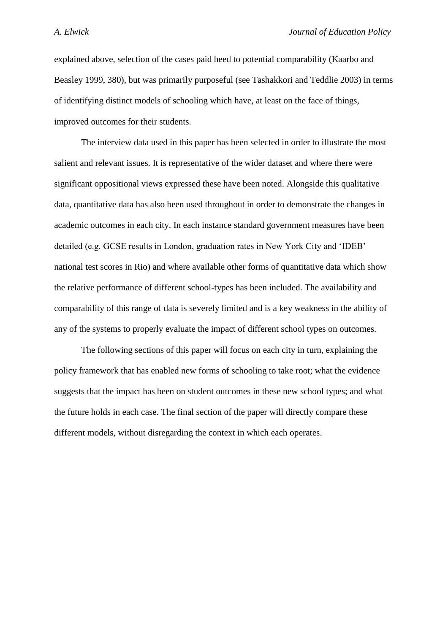explained above, selection of the cases paid heed to potential comparability (Kaarbo and Beasley 1999, 380), but was primarily purposeful (see Tashakkori and Teddlie 2003) in terms of identifying distinct models of schooling which have, at least on the face of things, improved outcomes for their students.

The interview data used in this paper has been selected in order to illustrate the most salient and relevant issues. It is representative of the wider dataset and where there were significant oppositional views expressed these have been noted. Alongside this qualitative data, quantitative data has also been used throughout in order to demonstrate the changes in academic outcomes in each city. In each instance standard government measures have been detailed (e.g. GCSE results in London, graduation rates in New York City and 'IDEB' national test scores in Rio) and where available other forms of quantitative data which show the relative performance of different school-types has been included. The availability and comparability of this range of data is severely limited and is a key weakness in the ability of any of the systems to properly evaluate the impact of different school types on outcomes.

The following sections of this paper will focus on each city in turn, explaining the policy framework that has enabled new forms of schooling to take root; what the evidence suggests that the impact has been on student outcomes in these new school types; and what the future holds in each case. The final section of the paper will directly compare these different models, without disregarding the context in which each operates.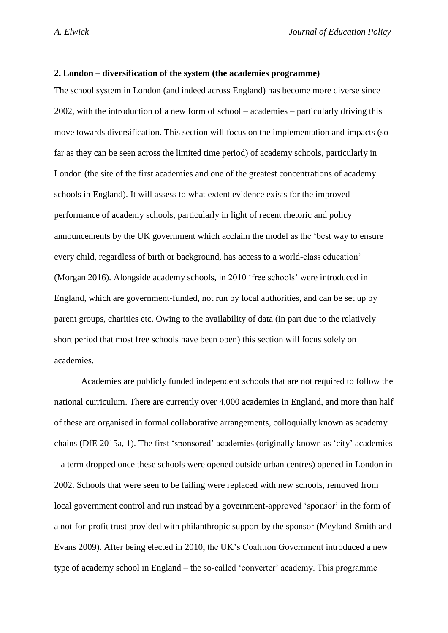#### **2. London – diversification of the system (the academies programme)**

The school system in London (and indeed across England) has become more diverse since 2002, with the introduction of a new form of school – academies – particularly driving this move towards diversification. This section will focus on the implementation and impacts (so far as they can be seen across the limited time period) of academy schools, particularly in London (the site of the first academies and one of the greatest concentrations of academy schools in England). It will assess to what extent evidence exists for the improved performance of academy schools, particularly in light of recent rhetoric and policy announcements by the UK government which acclaim the model as the 'best way to ensure every child, regardless of birth or background, has access to a world-class education' (Morgan 2016). Alongside academy schools, in 2010 'free schools' were introduced in England, which are government-funded, not run by local authorities, and can be set up by parent groups, charities etc. Owing to the availability of data (in part due to the relatively short period that most free schools have been open) this section will focus solely on academies.

Academies are publicly funded independent schools that are not required to follow the national curriculum. There are currently over 4,000 academies in England, and more than half of these are organised in formal collaborative arrangements, colloquially known as academy chains (DfE 2015a, 1). The first 'sponsored' academies (originally known as 'city' academies – a term dropped once these schools were opened outside urban centres) opened in London in 2002. Schools that were seen to be failing were replaced with new schools, removed from local government control and run instead by a government-approved 'sponsor' in the form of a not-for-profit trust provided with philanthropic support by the sponsor (Meyland-Smith and Evans 2009). After being elected in 2010, the UK's Coalition Government introduced a new type of academy school in England – the so-called 'converter' academy. This programme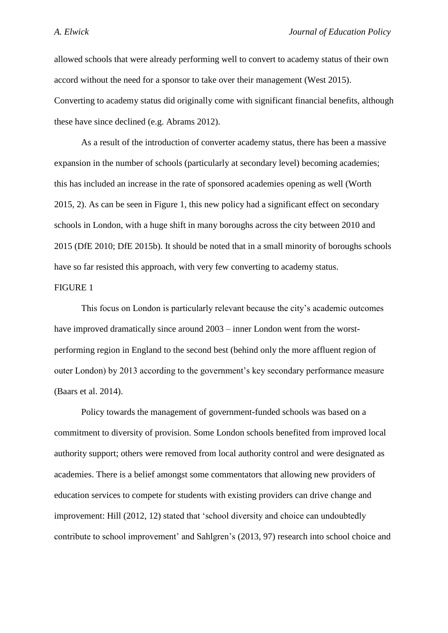allowed schools that were already performing well to convert to academy status of their own accord without the need for a sponsor to take over their management (West 2015). Converting to academy status did originally come with significant financial benefits, although these have since declined (e.g. Abrams 2012).

As a result of the introduction of converter academy status, there has been a massive expansion in the number of schools (particularly at secondary level) becoming academies; this has included an increase in the rate of sponsored academies opening as well (Worth 2015, 2). As can be seen in Figure 1, this new policy had a significant effect on secondary schools in London, with a huge shift in many boroughs across the city between 2010 and 2015 (DfE 2010; DfE 2015b). It should be noted that in a small minority of boroughs schools have so far resisted this approach, with very few converting to academy status.

## FIGURE 1

This focus on London is particularly relevant because the city's academic outcomes have improved dramatically since around 2003 – inner London went from the worstperforming region in England to the second best (behind only the more affluent region of outer London) by 2013 according to the government's key secondary performance measure (Baars et al. 2014).

Policy towards the management of government-funded schools was based on a commitment to diversity of provision. Some London schools benefited from improved local authority support; others were removed from local authority control and were designated as academies. There is a belief amongst some commentators that allowing new providers of education services to compete for students with existing providers can drive change and improvement: Hill (2012, 12) stated that 'school diversity and choice can undoubtedly contribute to school improvement' and Sahlgren's (2013, 97) research into school choice and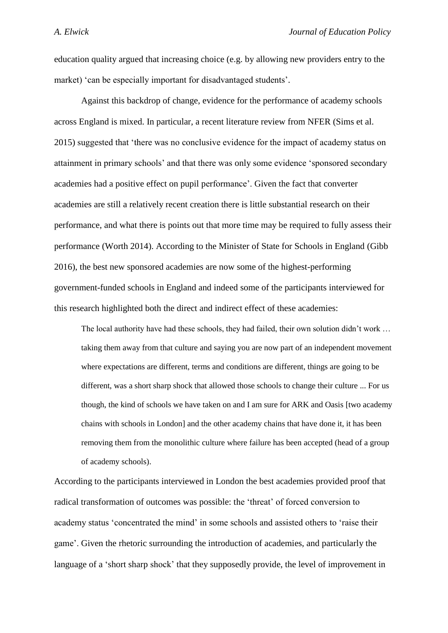education quality argued that increasing choice (e.g. by allowing new providers entry to the market) 'can be especially important for disadvantaged students'.

Against this backdrop of change, evidence for the performance of academy schools across England is mixed. In particular, a recent literature review from NFER (Sims et al. 2015) suggested that 'there was no conclusive evidence for the impact of academy status on attainment in primary schools' and that there was only some evidence 'sponsored secondary academies had a positive effect on pupil performance'. Given the fact that converter academies are still a relatively recent creation there is little substantial research on their performance, and what there is points out that more time may be required to fully assess their performance (Worth 2014). According to the Minister of State for Schools in England (Gibb 2016), the best new sponsored academies are now some of the highest-performing government-funded schools in England and indeed some of the participants interviewed for this research highlighted both the direct and indirect effect of these academies:

The local authority have had these schools, they had failed, their own solution didn't work ... taking them away from that culture and saying you are now part of an independent movement where expectations are different, terms and conditions are different, things are going to be different, was a short sharp shock that allowed those schools to change their culture ... For us though, the kind of schools we have taken on and I am sure for ARK and Oasis [two academy chains with schools in London] and the other academy chains that have done it, it has been removing them from the monolithic culture where failure has been accepted (head of a group of academy schools).

According to the participants interviewed in London the best academies provided proof that radical transformation of outcomes was possible: the 'threat' of forced conversion to academy status 'concentrated the mind' in some schools and assisted others to 'raise their game'. Given the rhetoric surrounding the introduction of academies, and particularly the language of a 'short sharp shock' that they supposedly provide, the level of improvement in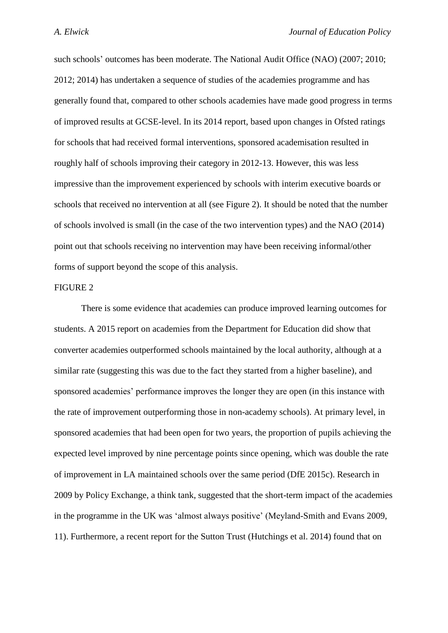such schools' outcomes has been moderate. The National Audit Office (NAO) (2007; 2010; 2012; 2014) has undertaken a sequence of studies of the academies programme and has generally found that, compared to other schools academies have made good progress in terms of improved results at GCSE-level. In its 2014 report, based upon changes in Ofsted ratings for schools that had received formal interventions, sponsored academisation resulted in roughly half of schools improving their category in 2012-13. However, this was less impressive than the improvement experienced by schools with interim executive boards or schools that received no intervention at all (see Figure 2). It should be noted that the number of schools involved is small (in the case of the two intervention types) and the NAO (2014) point out that schools receiving no intervention may have been receiving informal/other forms of support beyond the scope of this analysis.

#### FIGURE 2

There is some evidence that academies can produce improved learning outcomes for students. A 2015 report on academies from the Department for Education did show that converter academies outperformed schools maintained by the local authority, although at a similar rate (suggesting this was due to the fact they started from a higher baseline), and sponsored academies' performance improves the longer they are open (in this instance with the rate of improvement outperforming those in non-academy schools). At primary level, in sponsored academies that had been open for two years, the proportion of pupils achieving the expected level improved by nine percentage points since opening, which was double the rate of improvement in LA maintained schools over the same period (DfE 2015c). Research in 2009 by Policy Exchange, a think tank, suggested that the short-term impact of the academies in the programme in the UK was 'almost always positive' (Meyland-Smith and Evans 2009, 11). Furthermore, a recent report for the Sutton Trust (Hutchings et al. 2014) found that on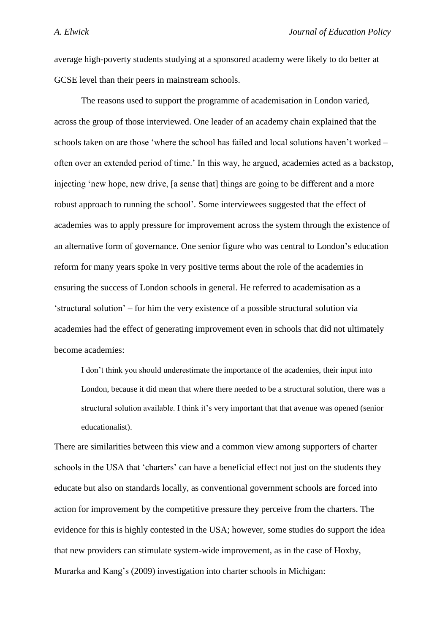average high-poverty students studying at a sponsored academy were likely to do better at GCSE level than their peers in mainstream schools.

The reasons used to support the programme of academisation in London varied, across the group of those interviewed. One leader of an academy chain explained that the schools taken on are those 'where the school has failed and local solutions haven't worked – often over an extended period of time.' In this way, he argued, academies acted as a backstop, injecting 'new hope, new drive, [a sense that] things are going to be different and a more robust approach to running the school'. Some interviewees suggested that the effect of academies was to apply pressure for improvement across the system through the existence of an alternative form of governance. One senior figure who was central to London's education reform for many years spoke in very positive terms about the role of the academies in ensuring the success of London schools in general. He referred to academisation as a 'structural solution' – for him the very existence of a possible structural solution via academies had the effect of generating improvement even in schools that did not ultimately become academies:

I don't think you should underestimate the importance of the academies, their input into London, because it did mean that where there needed to be a structural solution, there was a structural solution available. I think it's very important that that avenue was opened (senior educationalist).

There are similarities between this view and a common view among supporters of charter schools in the USA that 'charters' can have a beneficial effect not just on the students they educate but also on standards locally, as conventional government schools are forced into action for improvement by the competitive pressure they perceive from the charters. The evidence for this is highly contested in the USA; however, some studies do support the idea that new providers can stimulate system-wide improvement, as in the case of Hoxby, Murarka and Kang's (2009) investigation into charter schools in Michigan: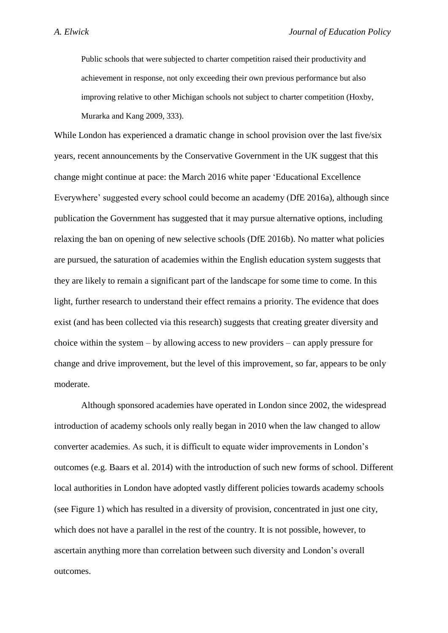Public schools that were subjected to charter competition raised their productivity and achievement in response, not only exceeding their own previous performance but also improving relative to other Michigan schools not subject to charter competition (Hoxby, Murarka and Kang 2009, 333).

While London has experienced a dramatic change in school provision over the last five/six years, recent announcements by the Conservative Government in the UK suggest that this change might continue at pace: the March 2016 white paper 'Educational Excellence Everywhere' suggested every school could become an academy (DfE 2016a), although since publication the Government has suggested that it may pursue alternative options, including relaxing the ban on opening of new selective schools (DfE 2016b). No matter what policies are pursued, the saturation of academies within the English education system suggests that they are likely to remain a significant part of the landscape for some time to come. In this light, further research to understand their effect remains a priority. The evidence that does exist (and has been collected via this research) suggests that creating greater diversity and choice within the system – by allowing access to new providers – can apply pressure for change and drive improvement, but the level of this improvement, so far, appears to be only moderate.

Although sponsored academies have operated in London since 2002, the widespread introduction of academy schools only really began in 2010 when the law changed to allow converter academies. As such, it is difficult to equate wider improvements in London's outcomes (e.g. Baars et al. 2014) with the introduction of such new forms of school. Different local authorities in London have adopted vastly different policies towards academy schools (see Figure 1) which has resulted in a diversity of provision, concentrated in just one city, which does not have a parallel in the rest of the country. It is not possible, however, to ascertain anything more than correlation between such diversity and London's overall outcomes.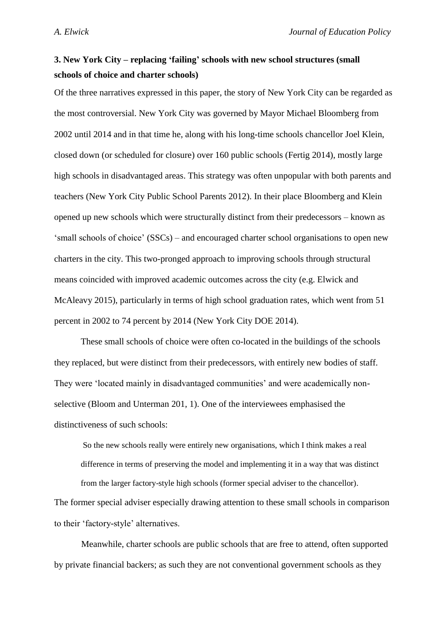# **3. New York City – replacing 'failing' schools with new school structures (small schools of choice and charter schools)**

Of the three narratives expressed in this paper, the story of New York City can be regarded as the most controversial. New York City was governed by Mayor Michael Bloomberg from 2002 until 2014 and in that time he, along with his long-time schools chancellor Joel Klein, closed down (or scheduled for closure) over 160 public schools (Fertig 2014), mostly large high schools in disadvantaged areas. This strategy was often unpopular with both parents and teachers (New York City Public School Parents 2012). In their place Bloomberg and Klein opened up new schools which were structurally distinct from their predecessors – known as 'small schools of choice' (SSCs) – and encouraged charter school organisations to open new charters in the city. This two-pronged approach to improving schools through structural means coincided with improved academic outcomes across the city (e.g. Elwick and McAleavy 2015), particularly in terms of high school graduation rates, which went from 51 percent in 2002 to 74 percent by 2014 (New York City DOE 2014).

These small schools of choice were often co-located in the buildings of the schools they replaced, but were distinct from their predecessors, with entirely new bodies of staff. They were 'located mainly in disadvantaged communities' and were academically nonselective (Bloom and Unterman 201, 1). One of the interviewees emphasised the distinctiveness of such schools:

So the new schools really were entirely new organisations, which I think makes a real difference in terms of preserving the model and implementing it in a way that was distinct from the larger factory-style high schools (former special adviser to the chancellor).

The former special adviser especially drawing attention to these small schools in comparison to their 'factory-style' alternatives.

Meanwhile, charter schools are public schools that are free to attend, often supported by private financial backers; as such they are not conventional government schools as they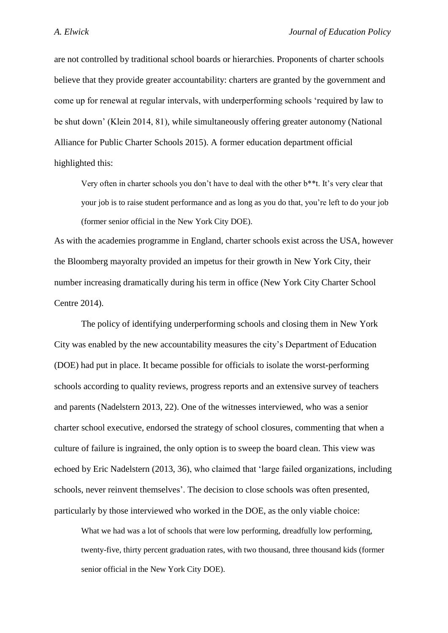are not controlled by traditional school boards or hierarchies. Proponents of charter schools believe that they provide greater accountability: charters are granted by the government and come up for renewal at regular intervals, with underperforming schools 'required by law to be shut down' (Klein 2014, 81), while simultaneously offering greater autonomy (National Alliance for Public Charter Schools 2015). A former education department official highlighted this:

Very often in charter schools you don't have to deal with the other b\*\*t. It's very clear that your job is to raise student performance and as long as you do that, you're left to do your job (former senior official in the New York City DOE).

As with the academies programme in England, charter schools exist across the USA, however the Bloomberg mayoralty provided an impetus for their growth in New York City, their number increasing dramatically during his term in office (New York City Charter School Centre 2014).

The policy of identifying underperforming schools and closing them in New York City was enabled by the new accountability measures the city's Department of Education (DOE) had put in place. It became possible for officials to isolate the worst-performing schools according to quality reviews, progress reports and an extensive survey of teachers and parents (Nadelstern 2013, 22). One of the witnesses interviewed, who was a senior charter school executive, endorsed the strategy of school closures, commenting that when a culture of failure is ingrained, the only option is to sweep the board clean. This view was echoed by Eric Nadelstern (2013, 36), who claimed that 'large failed organizations, including schools, never reinvent themselves'. The decision to close schools was often presented, particularly by those interviewed who worked in the DOE, as the only viable choice:

What we had was a lot of schools that were low performing, dreadfully low performing, twenty-five, thirty percent graduation rates, with two thousand, three thousand kids (former senior official in the New York City DOE).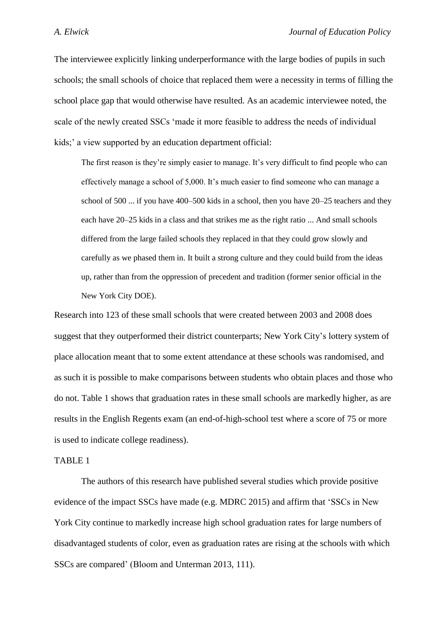The interviewee explicitly linking underperformance with the large bodies of pupils in such schools; the small schools of choice that replaced them were a necessity in terms of filling the school place gap that would otherwise have resulted. As an academic interviewee noted, the scale of the newly created SSCs 'made it more feasible to address the needs of individual kids;' a view supported by an education department official:

The first reason is they're simply easier to manage. It's very difficult to find people who can effectively manage a school of 5,000. It's much easier to find someone who can manage a school of 500 ... if you have 400–500 kids in a school, then you have 20–25 teachers and they each have 20–25 kids in a class and that strikes me as the right ratio ... And small schools differed from the large failed schools they replaced in that they could grow slowly and carefully as we phased them in. It built a strong culture and they could build from the ideas up, rather than from the oppression of precedent and tradition (former senior official in the New York City DOE).

Research into 123 of these small schools that were created between 2003 and 2008 does suggest that they outperformed their district counterparts; New York City's lottery system of place allocation meant that to some extent attendance at these schools was randomised, and as such it is possible to make comparisons between students who obtain places and those who do not. Table 1 shows that graduation rates in these small schools are markedly higher, as are results in the English Regents exam (an end-of-high-school test where a score of 75 or more is used to indicate college readiness).

#### TABLE 1

The authors of this research have published several studies which provide positive evidence of the impact SSCs have made (e.g. MDRC 2015) and affirm that 'SSCs in New York City continue to markedly increase high school graduation rates for large numbers of disadvantaged students of color, even as graduation rates are rising at the schools with which SSCs are compared' (Bloom and Unterman 2013, 111).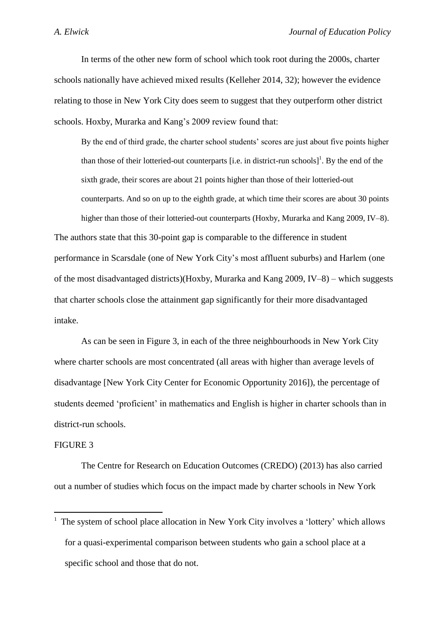In terms of the other new form of school which took root during the 2000s, charter schools nationally have achieved mixed results (Kelleher 2014, 32); however the evidence relating to those in New York City does seem to suggest that they outperform other district schools. Hoxby, Murarka and Kang's 2009 review found that:

By the end of third grade, the charter school students' scores are just about five points higher than those of their lotteried-out counterparts [i.e. in district-run schools]<sup>1</sup>. By the end of the sixth grade, their scores are about 21 points higher than those of their lotteried-out counterparts. And so on up to the eighth grade, at which time their scores are about 30 points higher than those of their lotteried-out counterparts (Hoxby, Murarka and Kang 2009, IV–8).

The authors state that this 30-point gap is comparable to the difference in student performance in Scarsdale (one of New York City's most affluent suburbs) and Harlem (one of the most disadvantaged districts)(Hoxby, Murarka and Kang 2009, IV–8) – which suggests that charter schools close the attainment gap significantly for their more disadvantaged intake.

As can be seen in Figure 3, in each of the three neighbourhoods in New York City where charter schools are most concentrated (all areas with higher than average levels of disadvantage [New York City Center for Economic Opportunity 2016]), the percentage of students deemed 'proficient' in mathematics and English is higher in charter schools than in district-run schools.

#### FIGURE 3

1

The Centre for Research on Education Outcomes (CREDO) (2013) has also carried out a number of studies which focus on the impact made by charter schools in New York

<sup>1</sup> The system of school place allocation in New York City involves a 'lottery' which allows for a quasi-experimental comparison between students who gain a school place at a specific school and those that do not.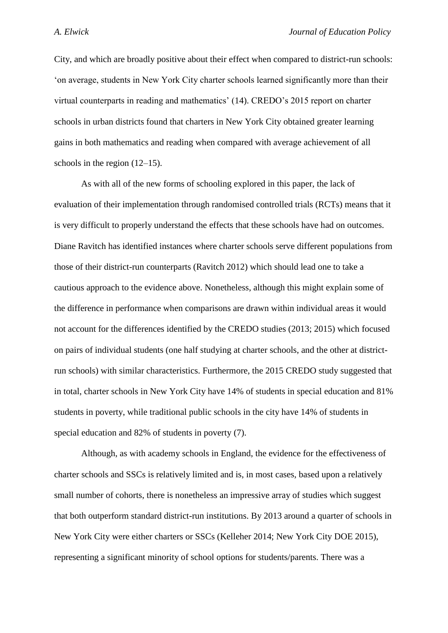City, and which are broadly positive about their effect when compared to district-run schools: 'on average, students in New York City charter schools learned significantly more than their virtual counterparts in reading and mathematics' (14). CREDO's 2015 report on charter schools in urban districts found that charters in New York City obtained greater learning gains in both mathematics and reading when compared with average achievement of all schools in the region (12–15).

As with all of the new forms of schooling explored in this paper, the lack of evaluation of their implementation through randomised controlled trials (RCTs) means that it is very difficult to properly understand the effects that these schools have had on outcomes. Diane Ravitch has identified instances where charter schools serve different populations from those of their district-run counterparts (Ravitch 2012) which should lead one to take a cautious approach to the evidence above. Nonetheless, although this might explain some of the difference in performance when comparisons are drawn within individual areas it would not account for the differences identified by the CREDO studies (2013; 2015) which focused on pairs of individual students (one half studying at charter schools, and the other at districtrun schools) with similar characteristics. Furthermore, the 2015 CREDO study suggested that in total, charter schools in New York City have 14% of students in special education and 81% students in poverty, while traditional public schools in the city have 14% of students in special education and 82% of students in poverty (7).

Although, as with academy schools in England, the evidence for the effectiveness of charter schools and SSCs is relatively limited and is, in most cases, based upon a relatively small number of cohorts, there is nonetheless an impressive array of studies which suggest that both outperform standard district-run institutions. By 2013 around a quarter of schools in New York City were either charters or SSCs (Kelleher 2014; New York City DOE 2015), representing a significant minority of school options for students/parents. There was a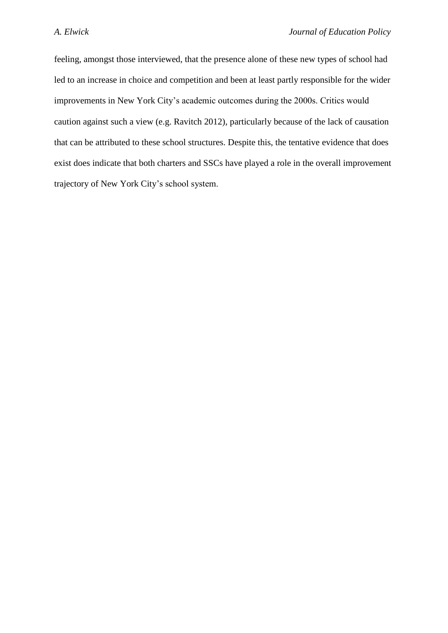feeling, amongst those interviewed, that the presence alone of these new types of school had led to an increase in choice and competition and been at least partly responsible for the wider improvements in New York City's academic outcomes during the 2000s. Critics would caution against such a view (e.g. Ravitch 2012), particularly because of the lack of causation that can be attributed to these school structures. Despite this, the tentative evidence that does exist does indicate that both charters and SSCs have played a role in the overall improvement trajectory of New York City's school system.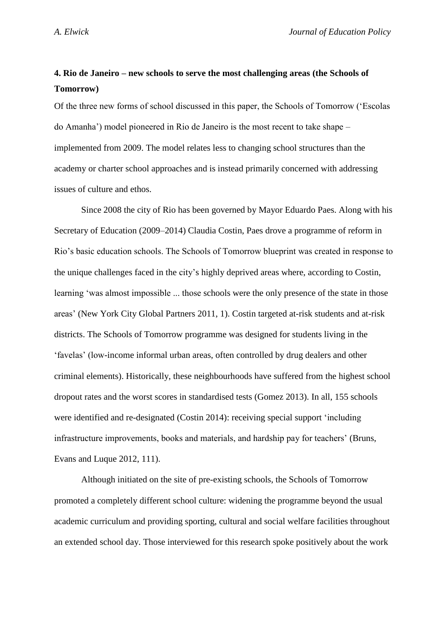# **4. Rio de Janeiro – new schools to serve the most challenging areas (the Schools of Tomorrow)**

Of the three new forms of school discussed in this paper, the Schools of Tomorrow ('Escolas do Amanha') model pioneered in Rio de Janeiro is the most recent to take shape – implemented from 2009. The model relates less to changing school structures than the academy or charter school approaches and is instead primarily concerned with addressing issues of culture and ethos.

Since 2008 the city of Rio has been governed by Mayor Eduardo Paes. Along with his Secretary of Education (2009–2014) Claudia Costin, Paes drove a programme of reform in Rio's basic education schools. The Schools of Tomorrow blueprint was created in response to the unique challenges faced in the city's highly deprived areas where, according to Costin, learning 'was almost impossible ... those schools were the only presence of the state in those areas' (New York City Global Partners 2011, 1). Costin targeted at-risk students and at-risk districts. The Schools of Tomorrow programme was designed for students living in the 'favelas' (low-income informal urban areas, often controlled by drug dealers and other criminal elements). Historically, these neighbourhoods have suffered from the highest school dropout rates and the worst scores in standardised tests (Gomez 2013). In all, 155 schools were identified and re-designated (Costin 2014): receiving special support 'including infrastructure improvements, books and materials, and hardship pay for teachers' (Bruns, Evans and Luque 2012, 111).

Although initiated on the site of pre-existing schools, the Schools of Tomorrow promoted a completely different school culture: widening the programme beyond the usual academic curriculum and providing sporting, cultural and social welfare facilities throughout an extended school day. Those interviewed for this research spoke positively about the work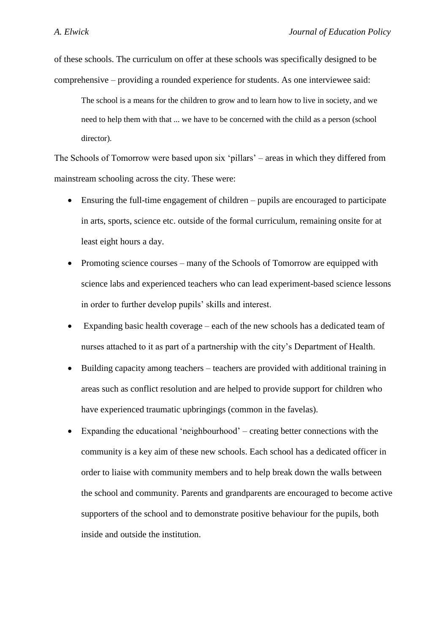of these schools. The curriculum on offer at these schools was specifically designed to be comprehensive – providing a rounded experience for students. As one interviewee said:

The school is a means for the children to grow and to learn how to live in society, and we need to help them with that ... we have to be concerned with the child as a person (school director).

The Schools of Tomorrow were based upon six 'pillars' – areas in which they differed from mainstream schooling across the city. These were:

- Ensuring the full-time engagement of children pupils are encouraged to participate in arts, sports, science etc. outside of the formal curriculum, remaining onsite for at least eight hours a day.
- Promoting science courses many of the Schools of Tomorrow are equipped with science labs and experienced teachers who can lead experiment-based science lessons in order to further develop pupils' skills and interest.
- Expanding basic health coverage each of the new schools has a dedicated team of nurses attached to it as part of a partnership with the city's Department of Health.
- Building capacity among teachers teachers are provided with additional training in areas such as conflict resolution and are helped to provide support for children who have experienced traumatic upbringings (common in the favelas).
- Expanding the educational 'neighbourhood' creating better connections with the community is a key aim of these new schools. Each school has a dedicated officer in order to liaise with community members and to help break down the walls between the school and community. Parents and grandparents are encouraged to become active supporters of the school and to demonstrate positive behaviour for the pupils, both inside and outside the institution.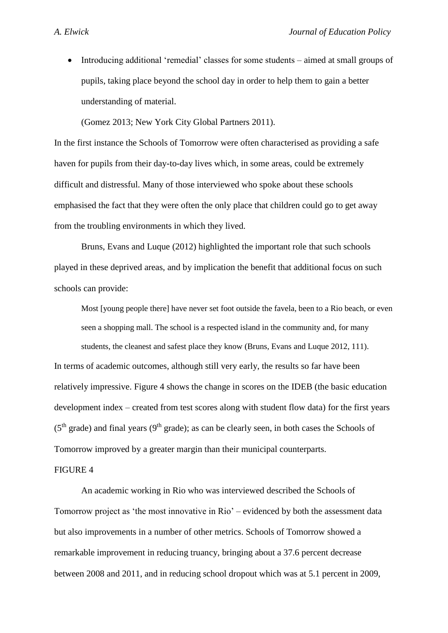• Introducing additional 'remedial' classes for some students – aimed at small groups of pupils, taking place beyond the school day in order to help them to gain a better understanding of material.

(Gomez 2013; New York City Global Partners 2011).

In the first instance the Schools of Tomorrow were often characterised as providing a safe haven for pupils from their day-to-day lives which, in some areas, could be extremely difficult and distressful. Many of those interviewed who spoke about these schools emphasised the fact that they were often the only place that children could go to get away from the troubling environments in which they lived.

Bruns, Evans and Luque (2012) highlighted the important role that such schools played in these deprived areas, and by implication the benefit that additional focus on such schools can provide:

Most [young people there] have never set foot outside the favela, been to a Rio beach, or even seen a shopping mall. The school is a respected island in the community and, for many students, the cleanest and safest place they know (Bruns, Evans and Luque 2012, 111).

In terms of academic outcomes, although still very early, the results so far have been relatively impressive. Figure 4 shows the change in scores on the IDEB (the basic education development index – created from test scores along with student flow data) for the first years  $(5<sup>th</sup> grade)$  and final years ( $9<sup>th</sup> grade$ ); as can be clearly seen, in both cases the Schools of Tomorrow improved by a greater margin than their municipal counterparts.

#### FIGURE 4

An academic working in Rio who was interviewed described the Schools of Tomorrow project as 'the most innovative in Rio' – evidenced by both the assessment data but also improvements in a number of other metrics. Schools of Tomorrow showed a remarkable improvement in reducing truancy, bringing about a 37.6 percent decrease between 2008 and 2011, and in reducing school dropout which was at 5.1 percent in 2009,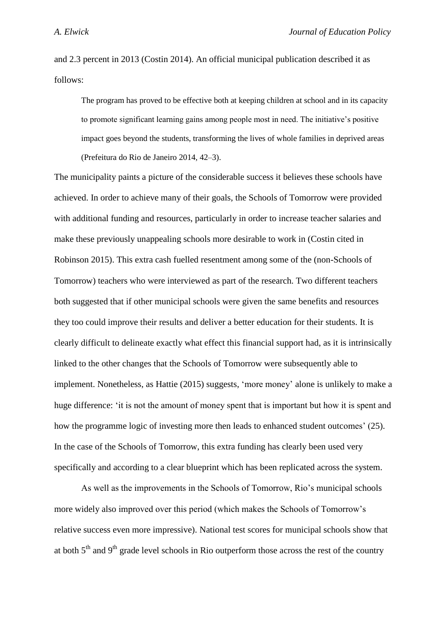and 2.3 percent in 2013 (Costin 2014). An official municipal publication described it as follows:

The program has proved to be effective both at keeping children at school and in its capacity to promote significant learning gains among people most in need. The initiative's positive impact goes beyond the students, transforming the lives of whole families in deprived areas (Prefeitura do Rio de Janeiro 2014, 42–3).

The municipality paints a picture of the considerable success it believes these schools have achieved. In order to achieve many of their goals, the Schools of Tomorrow were provided with additional funding and resources, particularly in order to increase teacher salaries and make these previously unappealing schools more desirable to work in (Costin cited in Robinson 2015). This extra cash fuelled resentment among some of the (non-Schools of Tomorrow) teachers who were interviewed as part of the research. Two different teachers both suggested that if other municipal schools were given the same benefits and resources they too could improve their results and deliver a better education for their students. It is clearly difficult to delineate exactly what effect this financial support had, as it is intrinsically linked to the other changes that the Schools of Tomorrow were subsequently able to implement. Nonetheless, as Hattie (2015) suggests, 'more money' alone is unlikely to make a huge difference: 'it is not the amount of money spent that is important but how it is spent and how the programme logic of investing more then leads to enhanced student outcomes' (25). In the case of the Schools of Tomorrow, this extra funding has clearly been used very specifically and according to a clear blueprint which has been replicated across the system.

As well as the improvements in the Schools of Tomorrow, Rio's municipal schools more widely also improved over this period (which makes the Schools of Tomorrow's relative success even more impressive). National test scores for municipal schools show that at both  $5<sup>th</sup>$  and  $9<sup>th</sup>$  grade level schools in Rio outperform those across the rest of the country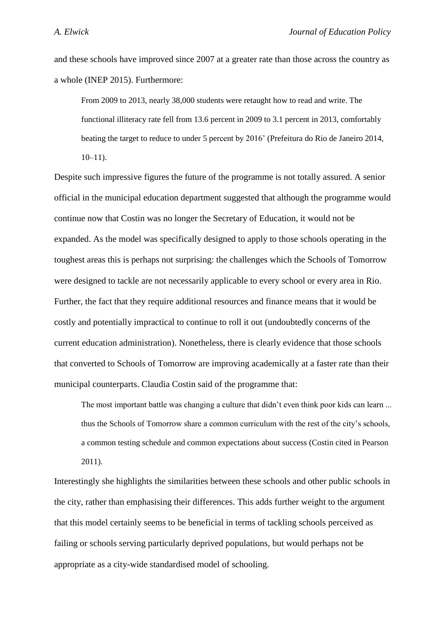and these schools have improved since 2007 at a greater rate than those across the country as a whole (INEP 2015). Furthermore:

From 2009 to 2013, nearly 38,000 students were retaught how to read and write. The functional illiteracy rate fell from 13.6 percent in 2009 to 3.1 percent in 2013, comfortably beating the target to reduce to under 5 percent by 2016' (Prefeitura do Rio de Janeiro 2014, 10–11).

Despite such impressive figures the future of the programme is not totally assured. A senior official in the municipal education department suggested that although the programme would continue now that Costin was no longer the Secretary of Education, it would not be expanded. As the model was specifically designed to apply to those schools operating in the toughest areas this is perhaps not surprising: the challenges which the Schools of Tomorrow were designed to tackle are not necessarily applicable to every school or every area in Rio. Further, the fact that they require additional resources and finance means that it would be costly and potentially impractical to continue to roll it out (undoubtedly concerns of the current education administration). Nonetheless, there is clearly evidence that those schools that converted to Schools of Tomorrow are improving academically at a faster rate than their municipal counterparts. Claudia Costin said of the programme that:

The most important battle was changing a culture that didn't even think poor kids can learn ... thus the Schools of Tomorrow share a common curriculum with the rest of the city's schools, a common testing schedule and common expectations about success (Costin cited in Pearson 2011).

Interestingly she highlights the similarities between these schools and other public schools in the city, rather than emphasising their differences. This adds further weight to the argument that this model certainly seems to be beneficial in terms of tackling schools perceived as failing or schools serving particularly deprived populations, but would perhaps not be appropriate as a city-wide standardised model of schooling.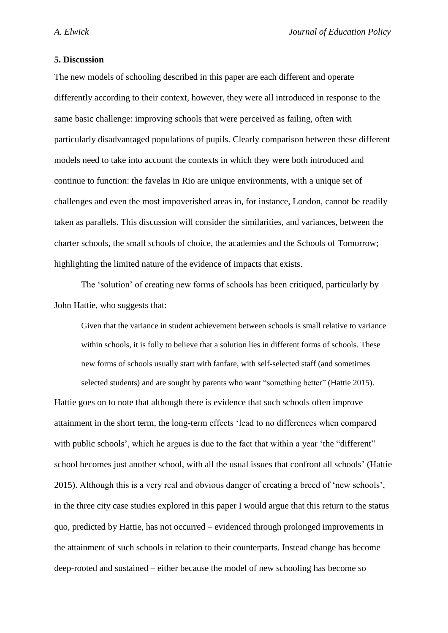#### **5. Discussion**

The new models of schooling described in this paper are each different and operate differently according to their context, however, they were all introduced in response to the same basic challenge: improving schools that were perceived as failing, often with particularly disadvantaged populations of pupils. Clearly comparison between these different models need to take into account the contexts in which they were both introduced and continue to function: the favelas in Rio are unique environments, with a unique set of challenges and even the most impoverished areas in, for instance, London, cannot be readily taken as parallels. This discussion will consider the similarities, and variances, between the charter schools, the small schools of choice, the academies and the Schools of Tomorrow; highlighting the limited nature of the evidence of impacts that exists.

The 'solution' of creating new forms of schools has been critiqued, particularly by John Hattie, who suggests that:

Given that the variance in student achievement between schools is small relative to variance within schools, it is folly to believe that a solution lies in different forms of schools. These new forms of schools usually start with fanfare, with self-selected staff (and sometimes selected students) and are sought by parents who want "something better" (Hattie 2015).

Hattie goes on to note that although there is evidence that such schools often improve attainment in the short term, the long-term effects 'lead to no differences when compared with public schools', which he argues is due to the fact that within a year 'the "different" school becomes just another school, with all the usual issues that confront all schools' (Hattie 2015). Although this is a very real and obvious danger of creating a breed of 'new schools', in the three city case studies explored in this paper I would argue that this return to the status quo, predicted by Hattie, has not occurred – evidenced through prolonged improvements in the attainment of such schools in relation to their counterparts. Instead change has become deep-rooted and sustained – either because the model of new schooling has become so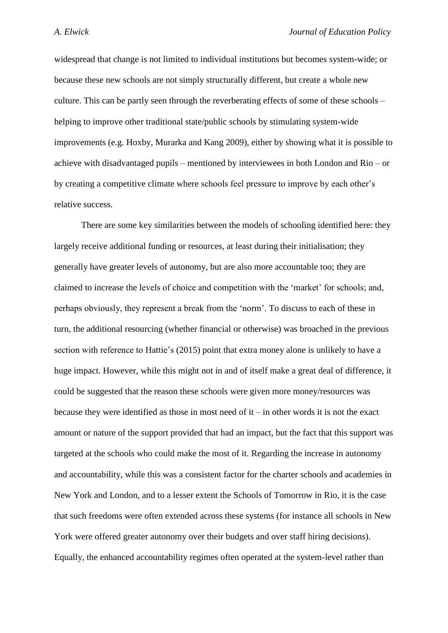widespread that change is not limited to individual institutions but becomes system-wide; or because these new schools are not simply structurally different, but create a whole new culture. This can be partly seen through the reverberating effects of some of these schools – helping to improve other traditional state/public schools by stimulating system-wide improvements (e.g. Hoxby, Murarka and Kang 2009), either by showing what it is possible to achieve with disadvantaged pupils – mentioned by interviewees in both London and Rio – or by creating a competitive climate where schools feel pressure to improve by each other's relative success.

There are some key similarities between the models of schooling identified here: they largely receive additional funding or resources, at least during their initialisation; they generally have greater levels of autonomy, but are also more accountable too; they are claimed to increase the levels of choice and competition with the 'market' for schools; and, perhaps obviously, they represent a break from the 'norm'. To discuss to each of these in turn, the additional resourcing (whether financial or otherwise) was broached in the previous section with reference to Hattie's (2015) point that extra money alone is unlikely to have a huge impact. However, while this might not in and of itself make a great deal of difference, it could be suggested that the reason these schools were given more money/resources was because they were identified as those in most need of it – in other words it is not the exact amount or nature of the support provided that had an impact, but the fact that this support was targeted at the schools who could make the most of it. Regarding the increase in autonomy and accountability, while this was a consistent factor for the charter schools and academies in New York and London, and to a lesser extent the Schools of Tomorrow in Rio, it is the case that such freedoms were often extended across these systems (for instance all schools in New York were offered greater autonomy over their budgets and over staff hiring decisions). Equally, the enhanced accountability regimes often operated at the system-level rather than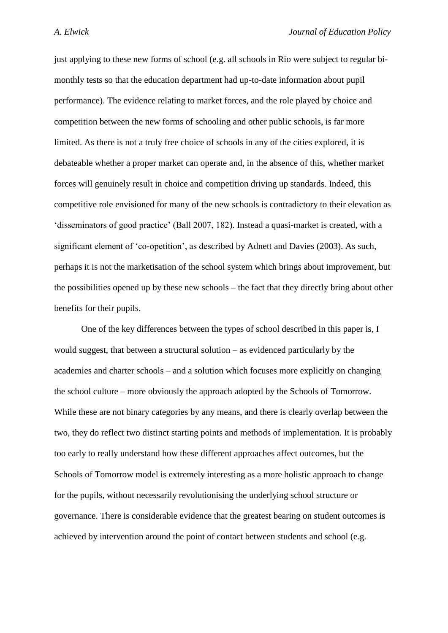just applying to these new forms of school (e.g. all schools in Rio were subject to regular bimonthly tests so that the education department had up-to-date information about pupil performance). The evidence relating to market forces, and the role played by choice and competition between the new forms of schooling and other public schools, is far more limited. As there is not a truly free choice of schools in any of the cities explored, it is debateable whether a proper market can operate and, in the absence of this, whether market forces will genuinely result in choice and competition driving up standards. Indeed, this competitive role envisioned for many of the new schools is contradictory to their elevation as 'disseminators of good practice' (Ball 2007, 182). Instead a quasi-market is created, with a significant element of 'co-opetition', as described by Adnett and Davies (2003). As such, perhaps it is not the marketisation of the school system which brings about improvement, but the possibilities opened up by these new schools – the fact that they directly bring about other benefits for their pupils.

One of the key differences between the types of school described in this paper is, I would suggest, that between a structural solution – as evidenced particularly by the academies and charter schools – and a solution which focuses more explicitly on changing the school culture – more obviously the approach adopted by the Schools of Tomorrow. While these are not binary categories by any means, and there is clearly overlap between the two, they do reflect two distinct starting points and methods of implementation. It is probably too early to really understand how these different approaches affect outcomes, but the Schools of Tomorrow model is extremely interesting as a more holistic approach to change for the pupils, without necessarily revolutionising the underlying school structure or governance. There is considerable evidence that the greatest bearing on student outcomes is achieved by intervention around the point of contact between students and school (e.g.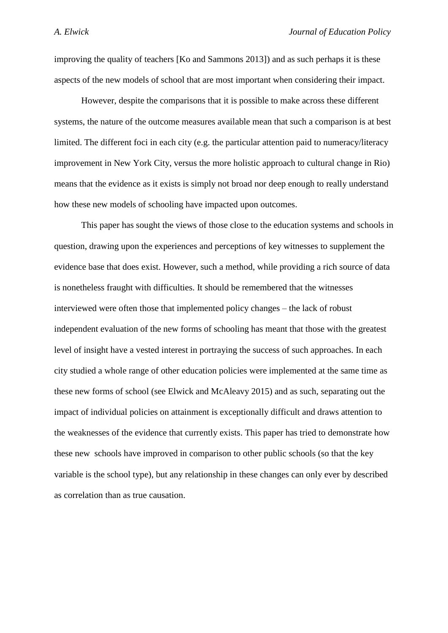improving the quality of teachers [Ko and Sammons 2013]) and as such perhaps it is these aspects of the new models of school that are most important when considering their impact.

However, despite the comparisons that it is possible to make across these different systems, the nature of the outcome measures available mean that such a comparison is at best limited. The different foci in each city (e.g. the particular attention paid to numeracy/literacy improvement in New York City, versus the more holistic approach to cultural change in Rio) means that the evidence as it exists is simply not broad nor deep enough to really understand how these new models of schooling have impacted upon outcomes.

This paper has sought the views of those close to the education systems and schools in question, drawing upon the experiences and perceptions of key witnesses to supplement the evidence base that does exist. However, such a method, while providing a rich source of data is nonetheless fraught with difficulties. It should be remembered that the witnesses interviewed were often those that implemented policy changes – the lack of robust independent evaluation of the new forms of schooling has meant that those with the greatest level of insight have a vested interest in portraying the success of such approaches. In each city studied a whole range of other education policies were implemented at the same time as these new forms of school (see Elwick and McAleavy 2015) and as such, separating out the impact of individual policies on attainment is exceptionally difficult and draws attention to the weaknesses of the evidence that currently exists. This paper has tried to demonstrate how these new schools have improved in comparison to other public schools (so that the key variable is the school type), but any relationship in these changes can only ever by described as correlation than as true causation.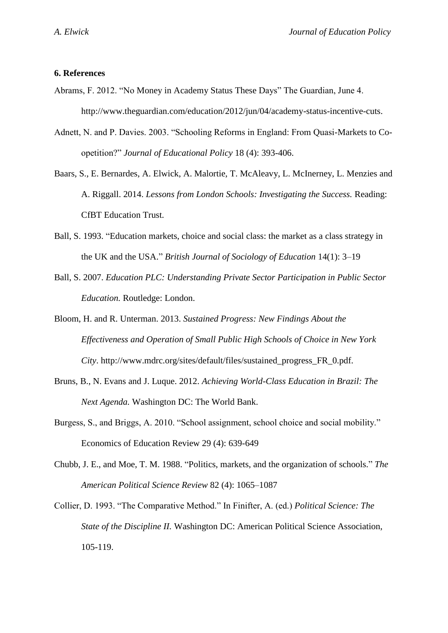## **6. References**

- Abrams, F. 2012. "No Money in Academy Status These Days" The Guardian, June 4. http://www.theguardian.com/education/2012/jun/04/academy-status-incentive-cuts.
- Adnett, N. and P. Davies. 2003. "Schooling Reforms in England: From Quasi-Markets to Coopetition?" *Journal of Educational Policy* 18 (4): 393-406.
- Baars, S., E. Bernardes, A. Elwick, A. Malortie, T. McAleavy, L. McInerney, L. Menzies and A. Riggall. 2014. *Lessons from London Schools: Investigating the Success.* Reading: CfBT Education Trust.
- Ball, S. 1993. "Education markets, choice and social class: the market as a class strategy in the UK and the USA." *British Journal of Sociology of Education* 14(1): 3–19
- Ball, S. 2007. *Education PLC: Understanding Private Sector Participation in Public Sector Education.* Routledge: London.
- Bloom, H. and R. Unterman. 2013. *Sustained Progress: New Findings About the Effectiveness and Operation of Small Public High Schools of Choice in New York City*. http://www.mdrc.org/sites/default/files/sustained\_progress\_FR\_0.pdf.
- Bruns, B., N. Evans and J. Luque. 2012. *Achieving World-Class Education in Brazil: The Next Agenda.* Washington DC: The World Bank.
- Burgess, S., and Briggs, A. 2010. "School assignment, school choice and social mobility." Economics of Education Review 29 (4): 639-649
- Chubb, J. E., and Moe, T. M. 1988. "Politics, markets, and the organization of schools." *The American Political Science Review* 82 (4): 1065–1087
- Collier, D. 1993. "The Comparative Method." In Finifter, A. (ed.) *Political Science: The State of the Discipline II.* Washington DC: American Political Science Association, 105-119.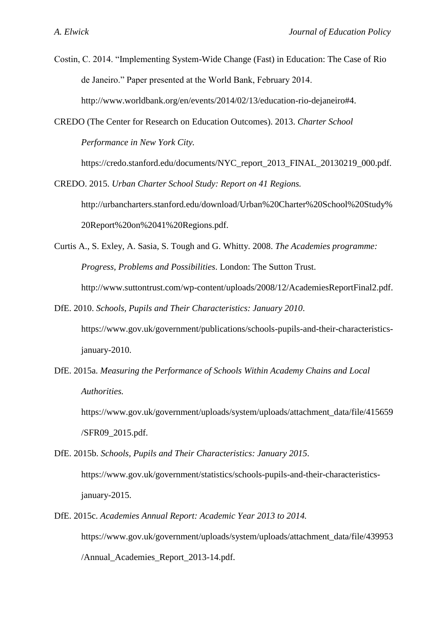Costin, C. 2014. "Implementing System-Wide Change (Fast) in Education: The Case of Rio de Janeiro." Paper presented at the World Bank, February 2014.

http://www.worldbank.org/en/events/2014/02/13/education-rio-dejaneiro#4.

CREDO (The Center for Research on Education Outcomes). 2013. *Charter School Performance in New York City.* 

https://credo.stanford.edu/documents/NYC\_report\_2013\_FINAL\_20130219\_000.pdf.

CREDO. 2015. *Urban Charter School Study: Report on 41 Regions.*

http://urbancharters.stanford.edu/download/Urban%20Charter%20School%20Study% 20Report%20on%2041%20Regions.pdf.

Curtis A., S. Exley, A. Sasia, S. Tough and G. Whitty. 2008. *The Academies programme: Progress, Problems and Possibilities*. London: The Sutton Trust.

http://www.suttontrust.com/wp-content/uploads/2008/12/AcademiesReportFinal2.pdf.

- DfE. 2010. *Schools, Pupils and Their Characteristics: January 2010*. https://www.gov.uk/government/publications/schools-pupils-and-their-characteristicsjanuary-2010.
- DfE. 2015a. *Measuring the Performance of Schools Within Academy Chains and Local Authorities.*

https://www.gov.uk/government/uploads/system/uploads/attachment\_data/file/415659 /SFR09\_2015.pdf.

- DfE. 2015b. *Schools, Pupils and Their Characteristics: January 2015*. https://www.gov.uk/government/statistics/schools-pupils-and-their-characteristicsjanuary-2015.
- DfE. 2015c. *Academies Annual Report: Academic Year 2013 to 2014.* https://www.gov.uk/government/uploads/system/uploads/attachment\_data/file/439953 /Annual\_Academies\_Report\_2013-14.pdf.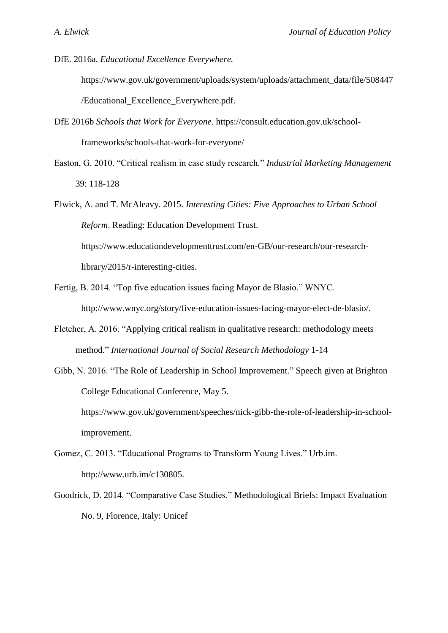DfE. 2016a. *Educational Excellence Everywhere.* 

https://www.gov.uk/government/uploads/system/uploads/attachment\_data/file/508447 /Educational\_Excellence\_Everywhere.pdf.

- DfE 2016b *Schools that Work for Everyone.* https://consult.education.gov.uk/schoolframeworks/schools-that-work-for-everyone/
- Easton, G. 2010. "Critical realism in case study research." *Industrial Marketing Management* 39: 118-128

Elwick, A. and T. McAleavy. 2015. *Interesting Cities: Five Approaches to Urban School Reform*. Reading: Education Development Trust. https://www.educationdevelopmenttrust.com/en-GB/our-research/our-researchlibrary/2015/r-interesting-cities.

- Fertig, B. 2014. "Top five education issues facing Mayor de Blasio." WNYC. http://www.wnyc.org/story/five-education-issues-facing-mayor-elect-de-blasio/.
- Fletcher, A. 2016. "Applying critical realism in qualitative research: methodology meets method." *International Journal of Social Research Methodology* 1-14
- Gibb, N. 2016. "The Role of Leadership in School Improvement." Speech given at Brighton College Educational Conference, May 5. https://www.gov.uk/government/speeches/nick-gibb-the-role-of-leadership-in-school-
- Gomez, C. 2013. "Educational Programs to Transform Young Lives." Urb.im. http://www.urb.im/c130805.

improvement.

Goodrick, D. 2014. "Comparative Case Studies." Methodological Briefs: Impact Evaluation No. 9, Florence, Italy: Unicef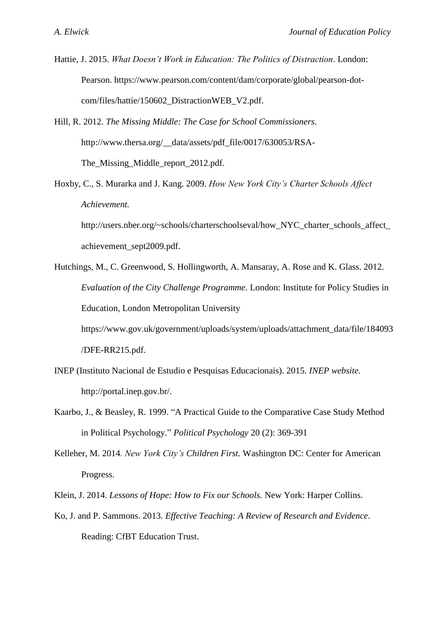- Hattie, J. 2015. *What Doesn't Work in Education: The Politics of Distraction*. London: Pearson. https://www.pearson.com/content/dam/corporate/global/pearson-dotcom/files/hattie/150602\_DistractionWEB\_V2.pdf.
- Hill, R. 2012. *The Missing Middle: The Case for School Commissioners*. http://www.thersa.org/\_\_data/assets/pdf\_file/0017/630053/RSA-The Missing Middle report 2012.pdf.
- Hoxby, C., S. Murarka and J. Kang. 2009. *How New York City's Charter Schools Affect Achievement.*

http://users.nber.org/~schools/charterschoolseval/how\_NYC\_charter\_schools\_affect\_ achievement\_sept2009.pdf.

- Hutchings, M., C. Greenwood, S. Hollingworth, A. Mansaray, A. Rose and K. Glass. 2012. *Evaluation of the City Challenge Programme.* London: Institute for Policy Studies in Education, London Metropolitan University https://www.gov.uk/government/uploads/system/uploads/attachment\_data/file/184093 /DFE-RR215.pdf.
- INEP (Instituto Nacional de Estudio e Pesquisas Educacionais). 2015. *INEP website.* http://portal.inep.gov.br/.
- Kaarbo, J., & Beasley, R. 1999. "A Practical Guide to the Comparative Case Study Method in Political Psychology." *Political Psychology* 20 (2): 369-391
- Kelleher, M. 2014*. New York City's Children First.* Washington DC: Center for American Progress.

Klein, J. 2014. *Lessons of Hope: How to Fix our Schools.* New York: Harper Collins.

Ko, J. and P. Sammons. 2013. *Effective Teaching: A Review of Research and Evidence*. Reading: CfBT Education Trust.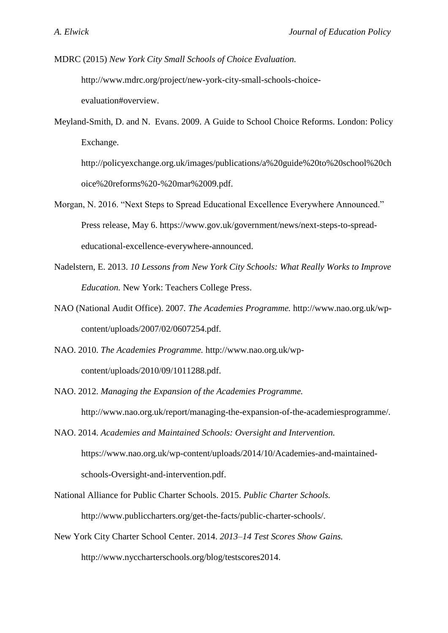MDRC (2015) *New York City Small Schools of Choice Evaluation.* http://www.mdrc.org/project/new-york-city-small-schools-choice-

evaluation#overview.

Meyland-Smith, D. and N. Evans. 2009. A Guide to School Choice Reforms. London: Policy Exchange.

http://policyexchange.org.uk/images/publications/a%20guide%20to%20school%20ch oice%20reforms%20-%20mar%2009.pdf.

- Morgan, N. 2016. "Next Steps to Spread Educational Excellence Everywhere Announced." Press release, May 6. https://www.gov.uk/government/news/next-steps-to-spreadeducational-excellence-everywhere-announced.
- Nadelstern, E. 2013. *10 Lessons from New York City Schools: What Really Works to Improve Education.* New York: Teachers College Press.
- NAO (National Audit Office). 2007*. The Academies Programme.* http://www.nao.org.uk/wpcontent/uploads/2007/02/0607254.pdf.
- NAO. 2010. *The Academies Programme.* http://www.nao.org.uk/wpcontent/uploads/2010/09/1011288.pdf.
- NAO. 2012. *Managing the Expansion of the Academies Programme.* http://www.nao.org.uk/report/managing-the-expansion-of-the-academiesprogramme/.
- NAO. 2014. *Academies and Maintained Schools: Oversight and Intervention.* https://www.nao.org.uk/wp-content/uploads/2014/10/Academies-and-maintainedschools-Oversight-and-intervention.pdf.
- National Alliance for Public Charter Schools. 2015. *Public Charter Schools.* http://www.publiccharters.org/get-the-facts/public-charter-schools/.
- New York City Charter School Center. 2014. *2013–14 Test Scores Show Gains.*  http://www.nyccharterschools.org/blog/testscores2014.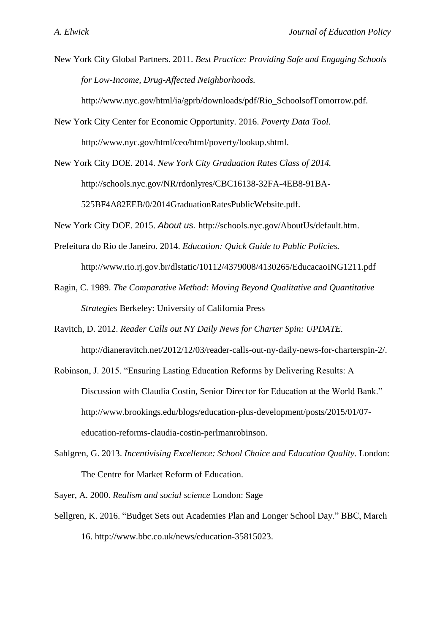New York City Global Partners. 2011. *Best Practice: Providing Safe and Engaging Schools for Low-Income, Drug-Affected Neighborhoods.*

http://www.nyc.gov/html/ia/gprb/downloads/pdf/Rio\_SchoolsofTomorrow.pdf.

- New York City Center for Economic Opportunity. 2016. *Poverty Data Tool.* http://www.nyc.gov/html/ceo/html/poverty/lookup.shtml.
- New York City DOE. 2014. *New York City Graduation Rates Class of 2014.* http://schools.nyc.gov/NR/rdonlyres/CBC16138-32FA-4EB8-91BA-525BF4A82EEB/0/2014GraduationRatesPublicWebsite.pdf.

New York City DOE. 2015. *About us.* http://schools.nyc.gov/AboutUs/default.htm.

- Prefeitura do Rio de Janeiro. 2014. *Education: Quick Guide to Public Policies.* http://www.rio.rj.gov.br/dlstatic/10112/4379008/4130265/EducacaoING1211.pdf
- Ragin, C. 1989. *The Comparative Method: Moving Beyond Qualitative and Quantitative Strategies* Berkeley: University of California Press
- Ravitch, D. 2012. *Reader Calls out NY Daily News for Charter Spin: UPDATE.*
	- http://dianeravitch.net/2012/12/03/reader-calls-out-ny-daily-news-for-charterspin-2/.
- Robinson, J. 2015. "Ensuring Lasting Education Reforms by Delivering Results: A Discussion with Claudia Costin, Senior Director for Education at the World Bank." http://www.brookings.edu/blogs/education-plus-development/posts/2015/01/07 education-reforms-claudia-costin-perlmanrobinson.
- Sahlgren, G. 2013. *Incentivising Excellence: School Choice and Education Quality.* London: The Centre for Market Reform of Education.

Sayer, A. 2000. *Realism and social science* London: Sage

Sellgren, K. 2016. "Budget Sets out Academies Plan and Longer School Day." BBC, March 16. http://www.bbc.co.uk/news/education-35815023.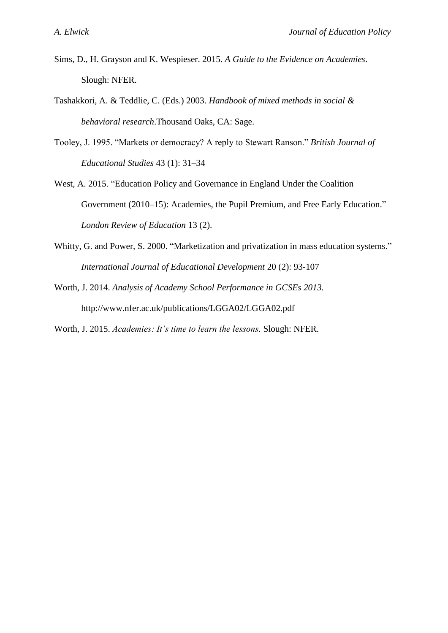- Sims, D., H. Grayson and K. Wespieser. 2015. *A Guide to the Evidence on Academies*. Slough: NFER.
- Tashakkori, A. & Teddlie, C. (Eds.) 2003. *Handbook of mixed methods in social & behavioral research*.Thousand Oaks, CA: Sage.
- Tooley, J. 1995. "Markets or democracy? A reply to Stewart Ranson." *British Journal of Educational Studies* 43 (1): 31–34
- West, A. 2015. "Education Policy and Governance in England Under the Coalition Government (2010–15): Academies, the Pupil Premium, and Free Early Education." *London Review of Education* 13 (2).
- Whitty, G. and Power, S. 2000. "Marketization and privatization in mass education systems." *International Journal of Educational Development* 20 (2): 93-107
- Worth, J. 2014. *Analysis of Academy School Performance in GCSEs 2013.*  http://www.nfer.ac.uk/publications/LGGA02/LGGA02.pdf

Worth, J. 2015. *Academies: It's time to learn the lessons.* Slough: NFER.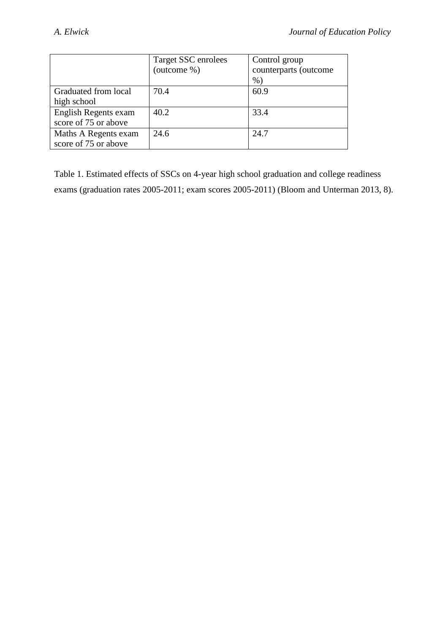|                      | Target SSC enrolees | Control group         |
|----------------------|---------------------|-----------------------|
|                      | (outcome %)         | counterparts (outcome |
|                      |                     | $%$ )                 |
| Graduated from local | 70.4                | 60.9                  |
| high school          |                     |                       |
| English Regents exam | 40.2                | 33.4                  |
| score of 75 or above |                     |                       |
| Maths A Regents exam | 24.6                | 24.7                  |
| score of 75 or above |                     |                       |

Table 1. Estimated effects of SSCs on 4-year high school graduation and college readiness exams (graduation rates 2005-2011; exam scores 2005-2011) (Bloom and Unterman 2013, 8).